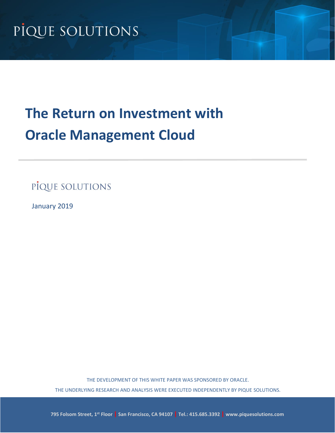# **The Return on Investment with Oracle Management Cloud**

PIQUE SOLUTIONS

January 2019

THE DEVELOPMENT OF THIS WHITE PAPER WAS SPONSORED BY ORACLE. THE UNDERLYING RESEARCH AND ANALYSIS WERE EXECUTED INDEPENDENTLY BY PIQUE SOLUTIONS.

**795 Folsom Street, 1st Floor | San Francisco, CA 94107 | Tel.: 415.685.3392 | www.piquesolutions.com**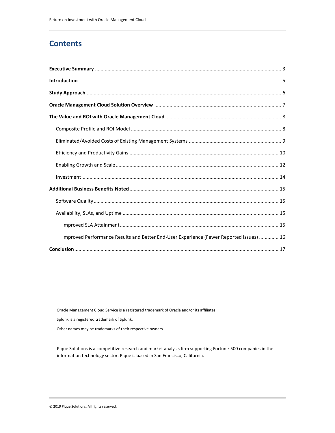## **Contents**

| Improved Performance Results and Better End-User Experience (Fewer Reported Issues)  16 |
|-----------------------------------------------------------------------------------------|
|                                                                                         |

Oracle Management Cloud Service is a registered trademark of Oracle and/or its affiliates.

Splunk is a registered trademark of Splunk.

Other names may be trademarks of their respective owners.

Pique Solutions is a competitive research and market analysis firm supporting Fortune-500 companies in the information technology sector. Pique is based in San Francisco, California.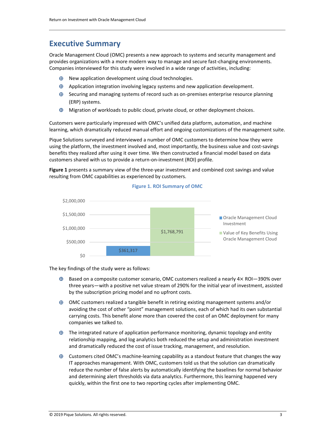### <span id="page-2-0"></span>**Executive Summary**

Oracle Management Cloud (OMC) presents a new approach to systems and security management and provides organizations with a more modern way to manage and secure fast-changing environments. Companies interviewed for this study were involved in a wide range of activities, including:

- $\bigoplus$  New application development using cloud technologies.
- $\oplus$  Application integration involving legacy systems and new application development.
- $\oplus$  Securing and managing systems of record such as on-premises enterprise resource planning (ERP) systems.
- $\oplus$  Migration of workloads to public cloud, private cloud, or other deployment choices.

Customers were particularly impressed with OMC's unified data platform, automation, and machine learning, which dramatically reduced manual effort and ongoing customizations of the management suite.

Pique Solutions surveyed and interviewed a number of OMC customers to determine how they were using the platform, the investment involved and, most importantly, the business value and cost-savings benefits they realized after using it over time. We then constructed a financial model based on data customers shared with us to provide a return-on-investment (ROI) profile.

 **Figure 1** presents a summary view of the three-year investment and combined cost savings and value resulting from OMC capabilities as experienced by customers.



#### **Figure 1. ROI Summary of OMC**

The key findings of the study were as follows:

- three years—with a positive net value stream of 290% for the initial year of investment, assisted  $\oplus$  Based on a composite customer scenario, OMC customers realized a nearly  $4 \times$  ROI-390% over by the subscription pricing model and no upfront costs.
- $\oplus$  OMC customers realized a tangible benefit in retiring existing management systems and/or avoiding the cost of other "point" management solutions, each of which had its own substantial carrying costs. This benefit alone more than covered the cost of an OMC deployment for many companies we talked to.
- $\oplus$  The integrated nature of application performance monitoring, dynamic topology and entity relationship mapping, and log analytics both reduced the setup and administration investment and dramatically reduced the cost of issue tracking, management, and resolution.
- $\oplus$  Customers cited OMC's machine-learning capability as a standout feature that changes the way IT approaches management. With OMC, customers told us that the solution can dramatically reduce the number of false alerts by automatically identifying the baselines for normal behavior and determining alert thresholds via data analytics. Furthermore, this learning happened very quickly, within the first one to two reporting cycles after implementing OMC.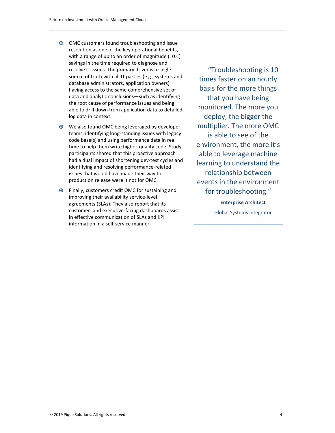- $\oplus$  OMC customers found troubleshooting and issue resolution as one of the key operational benefits, with a range of up to an order of magnitude  $(10\times)$ savings in the time required to diagnose and resolve IT issues. The primary driver is a single source of truth with all IT parties (e.g., systems and database administrators, application owners) having access to the same comprehensive set of data and analytic conclusions—such as identifying the root cause of performance issues and being able to drill down from application data to detailed log data in context.
- issues that would have made their way to  $\bigoplus$  We also found OMC being leveraged by developer teams, identifying long-standing issues with legacy code base(s) and using performance data in real time to help them write higher-quality code. Study participants shared that this proactive approach had a dual impact of shortening dev-test cycles and identifying and resolving performance-related production release were it not for OMC.
- $\bigoplus$  Finally, customers credit OMC for sustaining and improving their availability service-level agreements (SLAs). They also report that its customer- and executive-facing dashboards assist in effective communication of SLAs and KPI information in a self-service manner.

 times faster on an hourly monitored. The more you is able to see of the able to leverage machine learning to understand the "Troubleshooting is 10 basis for the more things that you have being deploy, the bigger the multiplier. The more OMC environment, the more it's relationship between events in the environment for troubleshooting."

> **Enterprise Architect**  Global Systems Integrator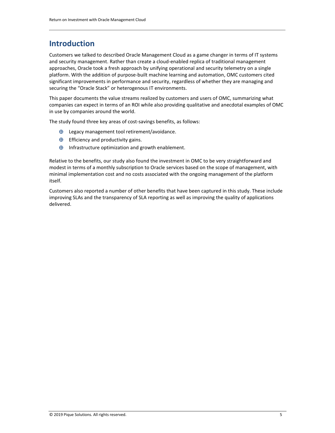### <span id="page-4-0"></span>**Introduction**

Customers we talked to described Oracle Management Cloud as a game changer in terms of IT systems and security management. Rather than create a cloud-enabled replica of traditional management approaches, Oracle took a fresh approach by unifying operational and security telemetry on a single platform. With the addition of purpose-built machine learning and automation, OMC customers cited significant improvements in performance and security, regardless of whether they are managing and securing the "Oracle Stack" or heterogenous IT environments.

 companies can expect in terms of an ROI while also providing qualitative and anecdotal examples of OMC This paper documents the value streams realized by customers and users of OMC, summarizing what in use by companies around the world.

The study found three key areas of cost-savings benefits, as follows:

- $\oplus$  Legacy management tool retirement/avoidance.
- $\bigoplus$  Efficiency and productivity gains.
- $\oplus$  Infrastructure optimization and growth enablement.

Relative to the benefits, our study also found the investment in OMC to be very straightforward and modest in terms of a monthly subscription to Oracle services based on the scope of management, with minimal implementation cost and no costs associated with the ongoing management of the platform itself.

Customers also reported a number of other benefits that have been captured in this study. These include improving SLAs and the transparency of SLA reporting as well as improving the quality of applications delivered.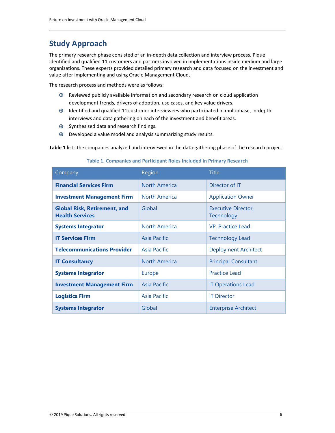## <span id="page-5-0"></span>**Study Approach**

The primary research phase consisted of an in-depth data collection and interview process. Pique identified and qualified 11 customers and partners involved in implementations inside medium and large organizations. These experts provided detailed primary research and data focused on the investment and value after implementing and using Oracle Management Cloud.

The research process and methods were as follows:

- $\oplus$  Reviewed publicly available information and secondary research on cloud application development trends, drivers of adoption, use cases, and key value drivers.
- $\oplus$  Identified and qualified 11 customer interviewees who participated in multiphase, in-depth interviews and data gathering on each of the investment and benefit areas.
- $\bigoplus$  Synthesized data and research findings.
- $\bigoplus$  Developed a value model and analysis summarizing study results.

**Table 1** lists the companies analyzed and interviewed in the data-gathering phase of the research project.

## **Table 1. Companies and Participant Roles Included in Primary Research**

| Company                                                       | Region               | <b>Title</b>                      |
|---------------------------------------------------------------|----------------------|-----------------------------------|
| <b>Financial Services Firm</b>                                | <b>North America</b> | Director of IT                    |
| <b>Investment Management Firm</b>                             | <b>North America</b> | <b>Application Owner</b>          |
| <b>Global Risk, Retirement, and</b><br><b>Health Services</b> | Global               | Executive Director,<br>Technology |
| <b>Systems Integrator</b>                                     | <b>North America</b> | VP, Practice Lead                 |
| <b>IT Services Firm</b>                                       | Asia Pacific         | <b>Technology Lead</b>            |
| <b>Telecommunications Provider</b>                            | Asia Pacific         | <b>Deployment Architect</b>       |
| <b>IT Consultancy</b>                                         | <b>North America</b> | <b>Principal Consultant</b>       |
| <b>Systems Integrator</b>                                     | Europe               | <b>Practice Lead</b>              |
| <b>Investment Management Firm</b>                             | Asia Pacific         | <b>IT Operations Lead</b>         |
| <b>Logistics Firm</b>                                         | Asia Pacific         | <b>IT Director</b>                |
| <b>Systems Integrator</b>                                     | Global               | <b>Enterprise Architect</b>       |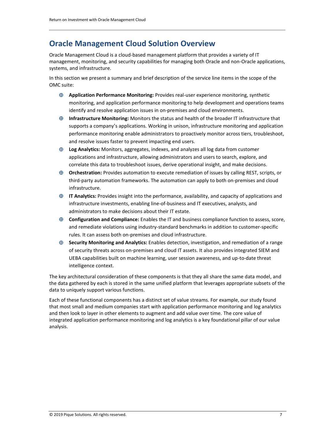### <span id="page-6-0"></span>**Oracle Management Cloud Solution Overview**

 Oracle Management Cloud is a cloud-based management platform that provides a variety of IT management, monitoring, and security capabilities for managing both Oracle and non-Oracle applications, systems, and infrastructure.

In this section we present a summary and brief description of the service line items in the scope of the OMC suite:

- **Application Performance Monitoring:** Provides real-user experience monitoring, synthetic monitoring, and application performance monitoring to help development and operations teams identify and resolve application issues in on-premises and cloud environments.
- **Infrastructure Monitoring:** Monitors the status and health of the broader IT infrastructure that supports a company's applications. Working in unison, infrastructure monitoring and application performance monitoring enable administrators to proactively monitor across tiers, troubleshoot, and resolve issues faster to prevent impacting end users.
- **Log Analytics:** Monitors, aggregates, indexes, and analyzes all log data from customer applications and infrastructure, allowing administrators and users to search, explore, and correlate this data to troubleshoot issues, derive operational insight, and make decisions.
- **Orchestration:** Provides automation to execute remediation of issues by calling REST, scripts, or third-party automation frameworks. The automation can apply to both on-premises and cloud infrastructure.
- **IT Analytics:** Provides insight into the performance, availability, and capacity of applications and infrastructure investments, enabling line-of-business and IT executives, analysts, and administrators to make decisions about their IT estate.
- **Configuration and Compliance:** Enables the IT and business compliance function to assess, score, and remediate violations using industry-standard benchmarks in addition to customer-specific rules. It can assess both on-premises and cloud infrastructure.
- **Security Monitoring and Analytics:** Enables detection, investigation, and remediation of a range of security threats across on-premises and cloud IT assets. It also provides integrated SIEM and UEBA capabilities built on machine learning, user session awareness, and up-to-date threat intelligence context.

The key architectural consideration of these components is that they all share the same data model, and the data gathered by each is stored in the same unified platform that leverages appropriate subsets of the data to uniquely support various functions.

Each of these functional components has a distinct set of value streams. For example, our study found that most small and medium companies start with application performance monitoring and log analytics and then look to layer in other elements to augment and add value over time. The core value of integrated application performance monitoring and log analytics is a key foundational pillar of our value analysis.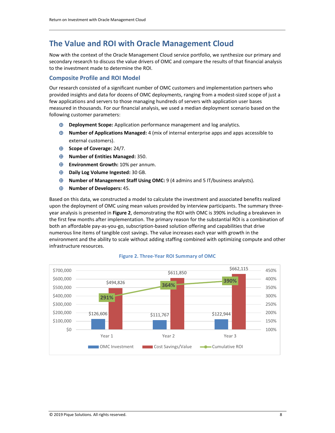### <span id="page-7-0"></span>**The Value and ROI with Oracle Management Cloud**

Now with the context of the Oracle Management Cloud service portfolio, we synthesize our primary and secondary research to discuss the value drivers of OMC and compare the results of that financial analysis to the investment made to determine the ROI.

#### <span id="page-7-1"></span>**Composite Profile and ROI Model**

Our research consisted of a significant number of OMC customers and implementation partners who provided insights and data for dozens of OMC deployments, ranging from a modest-sized scope of just a few applications and servers to those managing hundreds of servers with application user bases measured in thousands. For our financial analysis, we used a median deployment scenario based on the following customer parameters:

- **Deployment Scope:** Application performance management and log analytics.
- **Number of Applications Managed:** 4 (mix of internal enterprise apps and apps accessible to external customers).
- **Scope of Coverage:** 24/7.
- **Number of Entities Managed:** 350.
- **Environment Growth:** 10% per annum.
- **Daily Log Volume Ingested:** 30 GB.
- **Number of Management Staff Using OMC:** 9 (4 admins and 5 IT/business analysts).
- **Number of Developers:** 45.

Based on this data, we constructed a model to calculate the investment and associated benefits realized upon the deployment of OMC using mean values provided by interview participants. The summary threeyear analysis is presented in **Figure 2**, demonstrating the ROI with OMC is 390% including a breakeven in the first few months after implementation. The primary reason for the substantial ROI is a combination of both an affordable pay-as-you-go, subscription-based solution offering and capabilities that drive numerous line items of tangible cost savings. The value increases each year with growth in the environment and the ability to scale without adding staffing combined with optimizing compute and other infrastructure resources.



#### **Figure 2. Three-Year ROI Summary of OMC**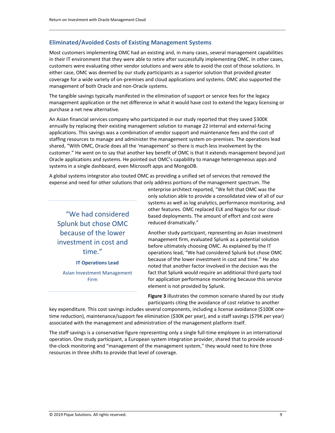### <span id="page-8-0"></span> **Eliminated/Avoided Costs of Existing Management Systems**

Most customers implementing OMC had an existing and, in many cases, several management capabilities in their IT environment that they were able to retire after successfully implementing OMC. In other cases, customers were evaluating other vendor solutions and were able to avoid the cost of those solutions. In either case, OMC was deemed by our study participants as a superior solution that provided greater coverage for a wide variety of on-premises and cloud applications and systems. OMC also supported the management of both Oracle and non-Oracle systems.

The tangible savings typically manifested in the elimination of support or service fees for the legacy management application or the net difference in what it would have cost to extend the legacy licensing or purchase a net new alternative.

 applications. This savings was a combination of vendor support and maintenance fees and the cost of An Asian financial services company who participated in our study reported that they saved \$300K annually by replacing their existing management solution to manage 22 internal and external-facing staffing resources to manage and administer the management system on-premises. The operations lead shared, "With OMC, Oracle does all the 'management' so there is much less involvement by the customer." He went on to say that another key benefit of OMC is that it extends management beyond just Oracle applications and systems. He pointed out OMC's capability to manage heterogeneous apps and systems in a single dashboard, even Microsoft apps and MongoDB.

A global systems integrator also touted OMC as providing a unified set of services that removed the expense and need for other solutions that only address portions of the management spectrum. The

"We had considered Splunk but chose OMC reduced dramatically."

enterprise architect reported, "We felt that OMC was the only solution able to provide a consolidated view of all of our systems as well as log analytics, performance monitoring, and other features. OMC replaced ELK and Nagios for our cloud based deployments. The amount of effort and cost were

because of the lower<br>management firm, evaluated Splunk as a potential solution investment in cost and<br>before ultimately choosing OMC. As explained by the IT<br>operations lead "We had considered Splunk but chose G operations lead, "We had considered Splunk but chose OMC because of the lower investment in cost and time." He also **IT Operations Lead** noted that another factor involved in the decision was the Asian Investment Management fact that Splunk would require an additional third-party tool Firm **Firm for application performance monitoring because this service** element is not provided by Splunk.

> **Figure 3** illustrates the common scenario shared by our study participants citing the avoidance of cost relative to another

 time reduction), maintenance/support fee elimination (\$30K per year), and a staff savings (\$79K per year) key expenditure. This cost savings includes several components, including a license avoidance (\$100K oneassociated with the management and administration of the management platform itself.

The staff savings is a conservative figure representing only a single full-time employee in an international operation. One study participant, a European system integration provider, shared that to provide aroundthe-clock monitoring and "management of the management system," they would need to hire three resources in three shifts to provide that level of coverage.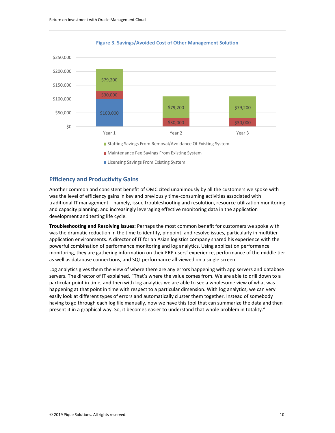



#### <span id="page-9-0"></span>**Efficiency and Productivity Gains**

Another common and consistent benefit of OMC cited unanimously by all the customers we spoke with was the level of efficiency gains in key and previously time-consuming activities associated with traditional IT management—namely, issue troubleshooting and resolution, resource utilization monitoring and capacity planning, and increasingly leveraging effective monitoring data in the application development and testing life cycle.

Licensing Savings From Existing System

 application environments. A director of IT for an Asian logistics company shared his experience with the **Troubleshooting and Resolving Issues:** Perhaps the most common benefit for customers we spoke with was the dramatic reduction in the time to identify, pinpoint, and resolve issues, particularly in multitier powerful combination of performance monitoring and log analytics. Using application performance monitoring, they are gathering information on their ERP users' experience, performance of the middle tier as well as database connections, and SQL performance all viewed on a single screen.

 particular point in time, and then with log analytics we are able to see a wholesome view of what was Log analytics gives them the view of where there are any errors happening with app servers and database servers. The director of IT explained, "That's where the value comes from. We are able to drill down to a happening at that point in time with respect to a particular dimension. With log analytics, we can very easily look at different types of errors and automatically cluster them together. Instead of somebody having to go through each log file manually, now we have this tool that can summarize the data and then present it in a graphical way. So, it becomes easier to understand that whole problem in totality."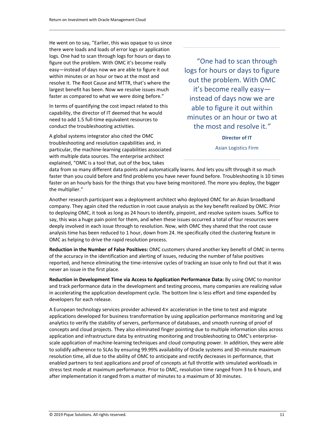He went on to say, "Earlier, this was opaque to us since there were loads and loads of error logs or application logs. One had to scan through logs for hours or days to figure out the problem. With OMC it's become really easy—instead of days now we are able to figure it out logs for hours or days to figure<br>within minutes or an hour or two at the most and resolve it. The Root Cause and MTTR, that's where the largest benefit has been. Now we resolve issues much it's become really easy-

In terms of quantifying the cost impact related to this able to figure it out within capability, the director of IT deemed that he would need to add 1.5 full-time equivalent resources to minutes or an hour or two at need t conduct the troubleshooting activities.

A global systems integrator also cited the OMC **Director of IT Director of IT** troubleshooting and resolution capabilities and, in Asian Logistics Firm particular, the machine-learning capabilities associated with multiple data sources. The enterprise architect explained, "OMC is a tool that, out of the box, takes

"One had to scan through out the problem. With OMC faster as compared to what we were doing before." instead of days now we are minutes or an hour or two at the most and resolve it."

data from so many different data points and automatically learns. And lets you sift through it so much faster than you could before and find problems you have never found before. Troubleshooting is 10 times faster on an hourly basis for the things that you have being monitored. The more you deploy, the bigger the multiplier."

 say, this was a huge pain point for them, and when these issues occurred a total of four resources were Another research participant was a deployment architect who deployed OMC for an Asian broadband company. They again cited the reduction in root cause analysis as the key benefit realized by OMC. Prior to deploying OMC, it took as long as 24 hours to identify, pinpoint, and resolve system issues. Suffice to deeply involved in each issue through to resolution. Now, with OMC they shared that the root cause analysis time has been reduced to 1 hour, down from 24. He specifically cited the clustering feature in OMC as helping to drive the rapid resolution process.

**Reduction in the Number of False Positives:** OMC customers shared another key benefit of OMC in terms of the accuracy in the identification and alerting of issues, reducing the number of false positives reported, and hence eliminating the time-intensive cycles of tracking an issue only to find out that it was never an issue in the first place.

**Reduction in Development Time via Access to Application Performance Data:** By using OMC to monitor and track performance data in the development and testing process, many companies are realizing value in accelerating the application development cycle. The bottom line is less effort and time expended by developers for each release.

A European technology services provider achieved 4× acceleration in the time to test and migrate applications developed for business transformation by using application performance monitoring and log analytics to verify the stability of servers, performance of databases, and smooth running of proof of concepts and cloud projects. They also eliminated finger pointing due to multiple information silos across application and infrastructure data by entrusting monitoring and troubleshooting to OMC's enterprisescale application of machine-learning techniques and cloud computing power. In addition, they were able to solidify adherence to SLAs by ensuring 99.99% availability of Oracle systems and 30-minute maximum resolution time, all due to the ability of OMC to anticipate and rectify decreases in performance, that enabled partners to test applications and proof of concepts at full throttle with simulated workloads in stress test mode at maximum performance. Prior to OMC, resolution time ranged from 3 to 6 hours, and after implementation it ranged from a matter of minutes to a maximum of 30 minutes.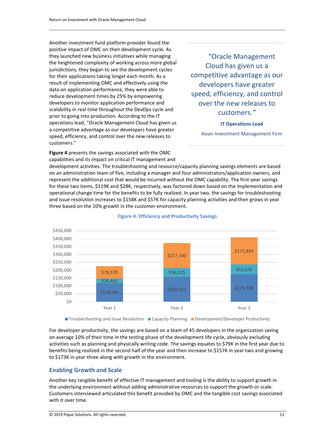Another investment fund platform provider found the positive impact of OMC on their development cycle. As they launched new business initiatives while managing **"Oracle Management**" the heightened complexity of working across more global jurisdictions, they began to see the development cycles for their applications taking longer each month. As a competitive advantage as our result of implementing OMC and effectively using the data on application performance, they were able to reduce development times by 25% by empowering developers to monitor application performance and over the new releases to scalability in real time throughout the DevOps cycle and scalability in real time throughout the DevOps cycle and<br>prior to going into production. According to the IT operations lead, "Oracle Management Cloud has given us **IT Operations Lead**  a competitive advantage as our developers have greater speed, efficiency, and control over the new releases to Asian Investment Management Firm customers."

Cloud has given us a developers have greater speed, efficiency, and control

 **Figure 4** presents the savings associated with the OMC capabilities and its impact on critical IT management and

development activities. The troubleshooting and resource/capacity planning savings elements are based on an administration team of five, including a manager and four administrators/application owners, and represent the additional cost that would be incurred without the OMC capability. The first-year savings for these two items, \$119K and \$28K, respectively, was factored down based on the implementation and operational change time for the benefits to be fully realized. In year two, the savings for troubleshooting and issue resolution increases to \$158K and \$57K for capacity planning activities and then grows in year three based on the 10% growth in the customer environment.



#### **Figure 4. Efficiency and Productivity Savings**

For developer productivity, the savings are based on a team of 45 developers in the organization saving on average 10% of their time in the testing phase of the development life cycle, obviously excluding activities such as planning and physically writing code. The savings equates to \$79K in the first year due to benefits being realized in the second half of the year and then increase to \$157K in year two and growing to \$173K in year three along with growth in the environment.

### <span id="page-11-0"></span> **Enabling Growth and Scale**

Another key tangible benefit of effective IT management and tooling is the ability to support growth in the underlying environment without adding administrative resources to support the growth or scale. Customers interviewed articulated this benefit provided by OMC and the tangible cost savings associated with it over time.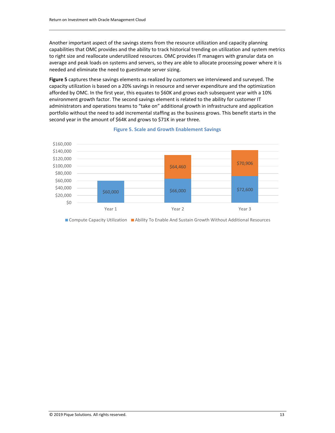capabilities that OMC provides and the ability to track historical trending on utilization and system metrics Another important aspect of the savings stems from the resource utilization and capacity planning to right size and reallocate underutilized resources. OMC provides IT managers with granular data on average and peak loads on systems and servers, so they are able to allocate processing power where it is needed and eliminate the need to guestimate server sizing.

**Figure 5** captures these savings elements as realized by customers we interviewed and surveyed. The capacity utilization is based on a 20% savings in resource and server expenditure and the optimization afforded by OMC. In the first year, this equates to \$60K and grows each subsequent year with a 10% environment growth factor. The second savings element is related to the ability for customer IT administrators and operations teams to "take on" additional growth in infrastructure and application portfolio without the need to add incremental staffing as the business grows. This benefit starts in the second year in the amount of \$64K and grows to \$71K in year three.



#### **Figure 5. Scale and Growth Enablement Savings**

Compute Capacity Utilization Ability To Enable And Sustain Growth Without Additional Resources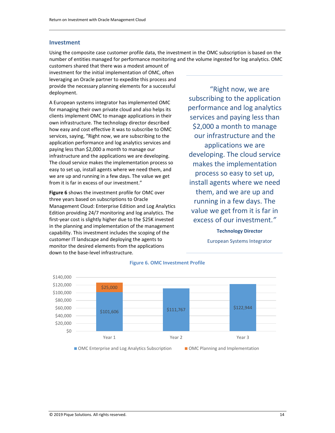#### <span id="page-13-0"></span>**Investment**

Using the composite case customer profile data, the investment in the OMC subscription is based on the number of entities managed for performance monitoring and the volume ingested for log analytics. OMC

customers shared that there was a modest amount of investment for the initial implementation of OMC, often leveraging an Oracle partner to expedite this process and provide the necessary planning elements for a successful deployment.

A European systems integrator has implemented OMC for managing their own private cloud and also helps its clients implement OMC to manage applications in their own infrastructure. The technology director described how easy and cost effective it was to subscribe to OMC services, saying, "Right now, we are subscribing to the application performance and log analytics services and paying less than \$2,000 a month to manage our infrastructure and the applications we are developing. The cloud service makes the implementation process so easy to set up, install agents where we need them, and we are up and running in a few days. The value we get from it is far in excess of our investment."

**Figure 6** shows the investment profile for OMC over three years based on subscriptions to Oracle Management Cloud: Enterprise Edition and Log Analytics Edition providing 24/7 monitoring and log analytics. The first-year cost is slightly higher due to the \$25K invested in the planning and implementation of the management capability. This investment includes the scoping of the customer IT landscape and deploying the agents to monitor the desired elements from the applications down to the base-level infrastructure.

 \$2,000 a month to manage developing. The cloud service process so easy to set up, install agents where we need them, and we are up and running in a few days. The "Right now, we are subscribing to the application performance and log analytics services and paying less than our infrastructure and the applications we are makes the implementation value we get from it is far in excess of our investment.*"*

### **Technology Director**

European Systems Integrator



#### **Figure 6. OMC Investment Profile**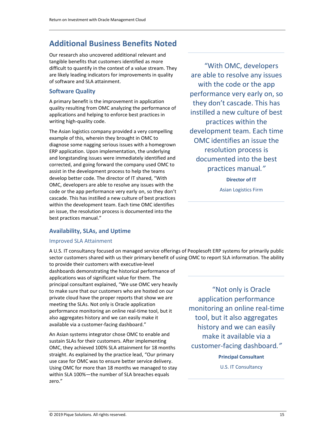## <span id="page-14-0"></span>**Additional Business Benefits Noted**

Our research also uncovered additional relevant and tangible benefits that customers identified as more difficult to quantify in the context of a value stream. They are likely leading indicators for improvements in quality of software and SLA attainment.

### <span id="page-14-1"></span>**Software Quality**

A primary benefit is the improvement in application quality resulting from OMC analyzing the performance of applications and helping to enforce best practices in writing high-quality code.

 code or the app performance very early on, so they don't The Asian logistics company provided a very compelling example of this, wherein they brought in OMC to diagnose some nagging serious issues with a homegrown ERP application. Upon implementation, the underlying and longstanding issues were immediately identified and corrected, and going forward the company used OMC to assist in the development process to help the teams develop better code. The director of IT shared, "With OMC, developers are able to resolve any issues with the cascade. This has instilled a new culture of best practices within the development team. Each time OMC identifies an issue, the resolution process is documented into the best practices manual."

<span id="page-14-2"></span>**Availability, SLAs, and Uptime** 

#### <span id="page-14-3"></span>Improved SLA Attainment

 sector customers shared with us their primary benefit of using OMC to report SLA information. The ability A U.S. IT consultancy focused on managed service offerings of Peoplesoft ERP systems for primarily public

to provide their customers with executive-level dashboards demonstrating the historical performance of applications was of significant value for them. The principal consultant explained, "We use OMC very heavily to make sure that our customers who are hosted on our private cloud have the proper reports that show we are meeting the SLAs. Not only is Oracle application performance monitoring an online real-time tool, but it also aggregates history and we can easily make it available via a customer-facing dashboard."

<span id="page-14-4"></span>An Asian systems integrator chose OMC to enable and sustain SLAs for their customers. After implementing OMC, they achieved 100% SLA attainment for 18 months straight. As explained by the practice lead, "Our primary use case for OMC was to ensure better service delivery. Using OMC for more than 18 months we managed to stay within SLA 100%—the number of SLA breaches equals zero."

 with the code or the app development team. Each time OMC identifies an issue the documented into the best "With OMC, developers are able to resolve any issues performance very early on, so they don't cascade. This has instilled a new culture of best practices within the resolution process is practices manual*."*

**Director of IT** 

Asian Logistics Firm

 monitoring an online real-time history and we can easily make it available via a "Not only is Oracle application performance tool, but it also aggregates customer-facing dashboard*."*

> **Principal Consultant**  U.S. IT Consultancy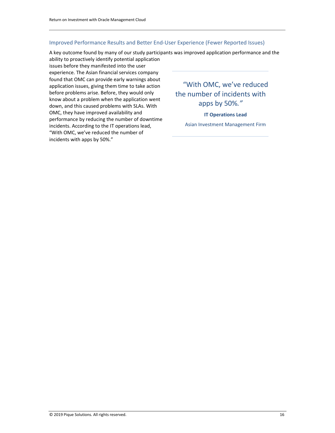#### Improved Performance Results and Better End-User Experience (Fewer Reported Issues)

A key outcome found by many of our study participants was improved application performance and the

ability to proactively identify potential application issues before they manifested into the user experience. The Asian financial services company found that OMC can provide early warnings about application issues, giving them time to take action "With OMC, we've reduced before problems arise. Before, they would only<br>
know about a problem when the application went<br>
the number of incidents with know about a problem when the application went apps by 50%*."* down, and this caused problems with SLAs. With OMC, they have improved availability and **IT Operations Lead** performance by reducing the number of downtime Asian Investment Management Firm incidents. According to the IT operations lead, "With OMC, we've reduced the number of incidents with apps by 50%."